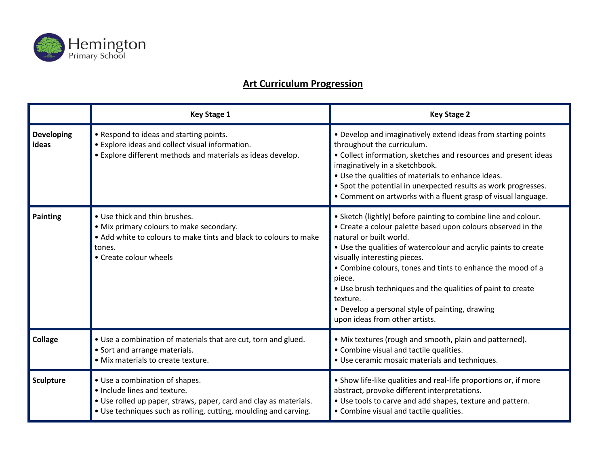

## **Art Curriculum Progression**

|                            | <b>Key Stage 1</b>                                                                                                                                                                                      | <b>Key Stage 2</b>                                                                                                                                                                                                                                                                                                                                                                                                                                                                                    |
|----------------------------|---------------------------------------------------------------------------------------------------------------------------------------------------------------------------------------------------------|-------------------------------------------------------------------------------------------------------------------------------------------------------------------------------------------------------------------------------------------------------------------------------------------------------------------------------------------------------------------------------------------------------------------------------------------------------------------------------------------------------|
| <b>Developing</b><br>ideas | • Respond to ideas and starting points.<br>• Explore ideas and collect visual information.<br>• Explore different methods and materials as ideas develop.                                               | • Develop and imaginatively extend ideas from starting points<br>throughout the curriculum.<br>• Collect information, sketches and resources and present ideas<br>imaginatively in a sketchbook.<br>• Use the qualities of materials to enhance ideas.<br>• Spot the potential in unexpected results as work progresses.<br>• Comment on artworks with a fluent grasp of visual language.                                                                                                             |
| <b>Painting</b>            | . Use thick and thin brushes.<br>• Mix primary colours to make secondary.<br>• Add white to colours to make tints and black to colours to make<br>tones.<br>• Create colour wheels                      | • Sketch (lightly) before painting to combine line and colour.<br>• Create a colour palette based upon colours observed in the<br>natural or built world.<br>• Use the qualities of watercolour and acrylic paints to create<br>visually interesting pieces.<br>• Combine colours, tones and tints to enhance the mood of a<br>piece.<br>• Use brush techniques and the qualities of paint to create<br>texture.<br>• Develop a personal style of painting, drawing<br>upon ideas from other artists. |
| Collage                    | . Use a combination of materials that are cut, torn and glued.<br>• Sort and arrange materials.<br>· Mix materials to create texture.                                                                   | • Mix textures (rough and smooth, plain and patterned).<br>• Combine visual and tactile qualities.<br>• Use ceramic mosaic materials and techniques.                                                                                                                                                                                                                                                                                                                                                  |
| Sculpture                  | • Use a combination of shapes.<br>• Include lines and texture.<br>• Use rolled up paper, straws, paper, card and clay as materials.<br>• Use techniques such as rolling, cutting, moulding and carving. | • Show life-like qualities and real-life proportions or, if more<br>abstract, provoke different interpretations.<br>. Use tools to carve and add shapes, texture and pattern.<br>• Combine visual and tactile qualities.                                                                                                                                                                                                                                                                              |